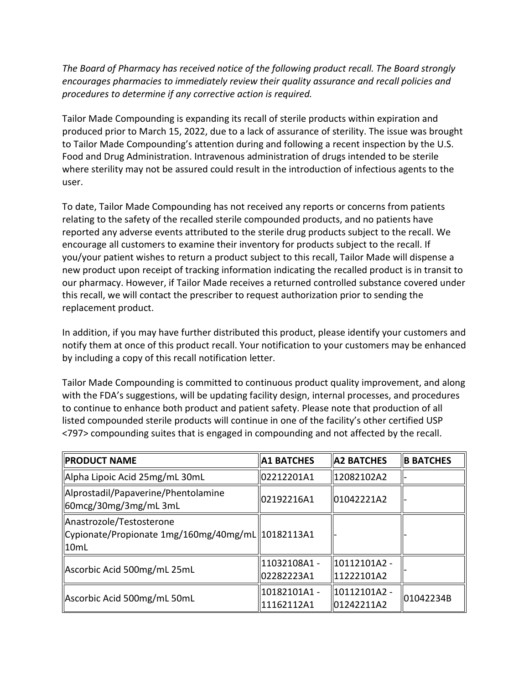*The Board of Pharmacy has received notice of the following product recall. The Board strongly encourages pharmacies to immediately review their quality assurance and recall policies and procedures to determine if any corrective action is required.* 

 produced prior to March 15, 2022, due to a lack of assurance of sterility. The issue was brought Food and Drug Administration. Intravenous administration of drugs intended to be sterile where sterility may not be assured could result in the introduction of infectious agents to the Tailor Made Compounding is expanding its recall of sterile products within expiration and to Tailor Made Compounding's attention during and following a recent inspection by the U.S. user.

 To date, Tailor Made Compounding has not received any reports or concerns from patients relating to the safety of the recalled sterile compounded products, and no patients have encourage all customers to examine their inventory for products subject to the recall. If you/your patient wishes to return a product subject to this recall, Tailor Made will dispense a this recall, we will contact the prescriber to request authorization prior to sending the reported any adverse events attributed to the sterile drug products subject to the recall. We new product upon receipt of tracking information indicating the recalled product is in transit to our pharmacy. However, if Tailor Made receives a returned controlled substance covered under replacement product.

In addition, if you may have further distributed this product, please identify your customers and notify them at once of this product recall. Your notification to your customers may be enhanced by including a copy of this recall notification letter.

 to continue to enhance both product and patient safety. Please note that production of all Tailor Made Compounding is committed to continuous product quality improvement, and along with the FDA's suggestions, will be updating facility design, internal processes, and procedures listed compounded sterile products will continue in one of the facility's other certified USP <797> compounding suites that is engaged in compounding and not affected by the recall.

| <b>PRODUCT NAME</b>                                                                    | <b>A1 BATCHES</b>           | <b>A2 BATCHES</b>          | <b>B BATCHES</b> |
|----------------------------------------------------------------------------------------|-----------------------------|----------------------------|------------------|
| Alpha Lipoic Acid 25mg/mL 30mL                                                         | 02212201A1                  | 12082102A2                 |                  |
| Alprostadil/Papaverine/Phentolamine<br>60mcg/30mg/3mg/mL3mL                            | 02192216A1                  | 01042221A2                 |                  |
| Anastrozole/Testosterone<br>Cypionate/Propionate 1mg/160mg/40mg/mL  10182113A1<br>10mL |                             |                            |                  |
| Ascorbic Acid 500mg/mL 25mL                                                            | 11032108A1 -<br>l02282223A1 | 10112101A2 -<br>11222101A2 |                  |
| Ascorbic Acid 500mg/mL 50mL                                                            | 10182101A1 -<br>11162112A1  | 10112101A2 -<br>01242211A2 | 01042234B        |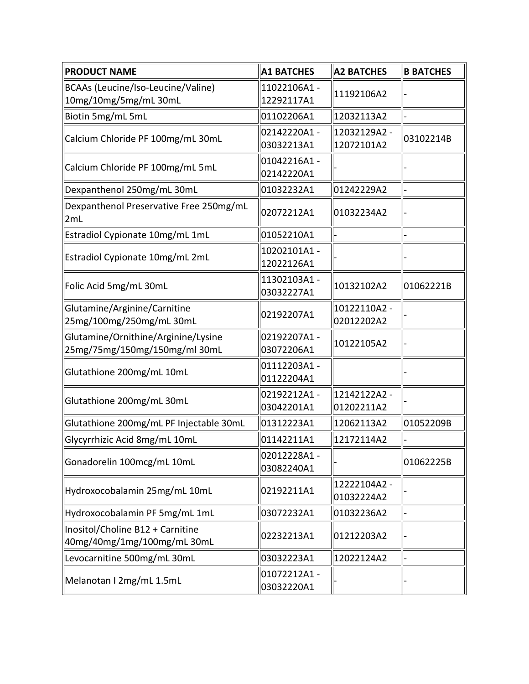| <b>PRODUCT NAME</b>                                                  | <b>A1 BATCHES</b>         | <b>A2 BATCHES</b>          | <b>B BATCHES</b> |
|----------------------------------------------------------------------|---------------------------|----------------------------|------------------|
| BCAAs (Leucine/Iso-Leucine/Valine)<br>10mg/10mg/5mg/mL 30mL          | 11022106A1-<br>12292117A1 | 11192106A2                 |                  |
| Biotin 5mg/mL 5mL                                                    | 01102206A1                | 12032113A2                 |                  |
| Calcium Chloride PF 100mg/mL 30mL                                    | 02142220A1-<br>03032213A1 | 12032129A2 -<br>12072101A2 | 03102214B        |
| Calcium Chloride PF 100mg/mL 5mL                                     | 01042216A1-<br>02142220A1 |                            |                  |
| Dexpanthenol 250mg/mL 30mL                                           | 01032232A1                | 01242229A2                 |                  |
| Dexpanthenol Preservative Free 250mg/mL<br>2mL                       | 02072212A1                | 01032234A2                 |                  |
| Estradiol Cypionate 10mg/mL 1mL                                      | 01052210A1                |                            |                  |
| Estradiol Cypionate 10mg/mL 2mL                                      | 10202101A1-<br>12022126A1 |                            |                  |
| Folic Acid 5mg/mL 30mL                                               | 11302103A1-<br>03032227A1 | 10132102A2                 | 01062221B        |
| Glutamine/Arginine/Carnitine<br>25mg/100mg/250mg/mL 30mL             | 02192207A1                | 10122110A2 -<br>02012202A2 |                  |
| Glutamine/Ornithine/Arginine/Lysine<br>25mg/75mg/150mg/150mg/ml 30mL | 02192207A1-<br>03072206A1 | 10122105A2                 |                  |
| Glutathione 200mg/mL 10mL                                            | 01112203A1-<br>01122204A1 |                            |                  |
| Glutathione 200mg/mL 30mL                                            | 02192212A1-<br>03042201A1 | 12142122A2 -<br>01202211A2 |                  |
| Glutathione 200mg/mL PF Injectable 30mL                              | 01312223A1                | 12062113A2                 | 01052209B        |
| Glycyrrhizic Acid 8mg/mL 10mL                                        | 01142211A1                | 12172114A2                 |                  |
| Gonadorelin 100mcg/mL 10mL                                           | 02012228A1-<br>03082240A1 |                            | 01062225B        |
| Hydroxocobalamin 25mg/mL 10mL                                        | 02192211A1                | 12222104A2 -<br>01032224A2 |                  |
| Hydroxocobalamin PF 5mg/mL 1mL                                       | 03072232A1                | 01032236A2                 |                  |
| Inositol/Choline B12 + Carnitine<br>40mg/40mg/1mg/100mg/mL 30mL      | 02232213A1                | 01212203A2                 |                  |
| Levocarnitine 500mg/mL 30mL                                          | 03032223A1                | 12022124A2                 |                  |
| Melanotan I 2mg/mL 1.5mL                                             | 01072212A1-<br>03032220A1 |                            |                  |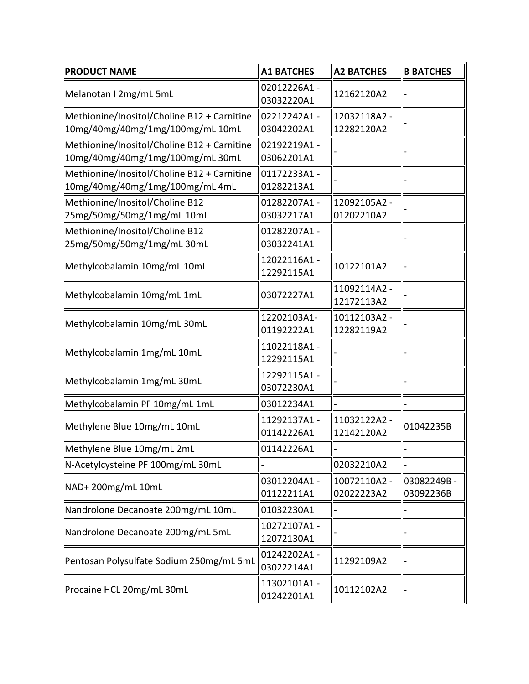| <b>PRODUCT NAME</b>                         | <b>A1 BATCHES</b>         | <b>A2 BATCHES</b> | <b>B BATCHES</b> |
|---------------------------------------------|---------------------------|-------------------|------------------|
| Melanotan I 2mg/mL 5mL                      | 02012226A1-<br>03032220A1 | 12162120A2        |                  |
| Methionine/Inositol/Choline B12 + Carnitine | 02212242A1-               | 12032118A2 -      |                  |
| 10mg/40mg/40mg/1mg/100mg/mL 10mL            | 03042202A1                | 12282120A2        |                  |
| Methionine/Inositol/Choline B12 + Carnitine | 02192219A1 -              |                   |                  |
| 10mg/40mg/40mg/1mg/100mg/mL30mL             | 03062201A1                |                   |                  |
| Methionine/Inositol/Choline B12 + Carnitine | 01172233A1-               |                   |                  |
| 10mg/40mg/40mg/1mg/100mg/mL 4mL             | 01282213A1                |                   |                  |
| Methionine/Inositol/Choline B12             | 01282207A1-               | 12092105A2 -      |                  |
| 25mg/50mg/50mg/1mg/mL 10mL                  | 03032217A1                | 01202210A2        |                  |
| Methionine/Inositol/Choline B12             | 01282207A1-               |                   |                  |
| 25mg/50mg/50mg/1mg/mL 30mL                  | 03032241A1                |                   |                  |
| Methylcobalamin 10mg/mL 10mL                | 12022116A1-<br>12292115A1 | 10122101A2        |                  |
|                                             |                           | 11092114A2 -      |                  |
| Methylcobalamin 10mg/mL 1mL                 | 03072227A1                | 12172113A2        |                  |
|                                             | 12202103A1-               | 10112103A2 -      |                  |
| Methylcobalamin 10mg/mL 30mL                | 01192222A1                | 12282119A2        |                  |
| Methylcobalamin 1mg/mL 10mL                 | 11022118A1-               |                   |                  |
|                                             | 12292115A1                |                   |                  |
| Methylcobalamin 1mg/mL 30mL                 | 12292115A1-               |                   |                  |
|                                             | 03072230A1                |                   |                  |
| Methylcobalamin PF 10mg/mL 1mL              | 03012234A1                |                   |                  |
| Methylene Blue 10mg/mL 10mL                 | 11292137A1-               | 11032122A2-       | 01042235B        |
|                                             | 01142226A1                | 12142120A2        |                  |
| Methylene Blue 10mg/mL 2mL                  | 01142226A1                |                   |                  |
| N-Acetylcysteine PF 100mg/mL 30mL           |                           | 02032210A2        |                  |
|                                             | 03012204A1-               | 10072110A2 -      | 03082249B-       |
| NAD+ 200mg/mL 10mL                          | 01122211A1                | 02022223A2        | 03092236B        |
| Nandrolone Decanoate 200mg/mL 10mL          | 01032230A1                |                   |                  |
|                                             | 10272107A1-               |                   |                  |
| Nandrolone Decanoate 200mg/mL 5mL           | 12072130A1                |                   |                  |
|                                             | 01242202A1-               |                   |                  |
| Pentosan Polysulfate Sodium 250mg/mL 5mL    | 03022214A1                | 11292109A2        |                  |
|                                             | 11302101A1-               |                   |                  |
| Procaine HCL 20mg/mL 30mL                   | 01242201A1                | 10112102A2        |                  |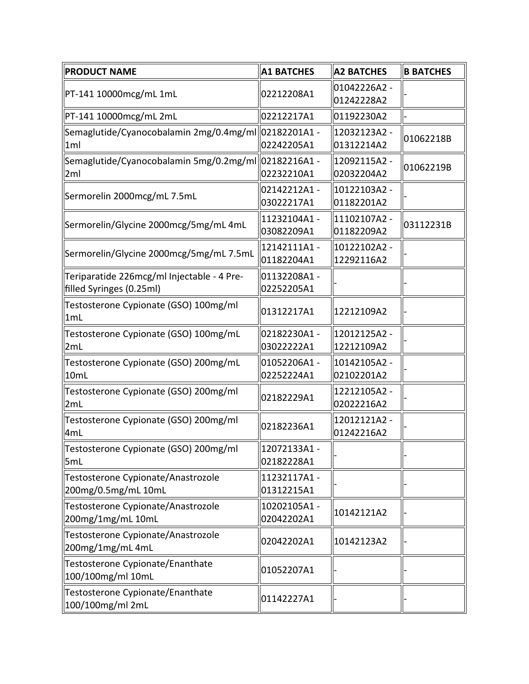| <b>PRODUCT NAME</b>                                                    | <b>A1 BATCHES</b>          | <b>A2 BATCHES</b>          | <b>B BATCHES</b> |
|------------------------------------------------------------------------|----------------------------|----------------------------|------------------|
| PT-141 10000mcg/mL 1mL                                                 | 02212208A1                 | 01042226A2 -<br>01242228A2 |                  |
| PT-141 10000mcg/mL 2mL                                                 | 02212217A1                 | 01192230A2                 |                  |
| Semaglutide/Cyanocobalamin 2mg/0.4mg/ml<br>1ml                         | 02182201A1 -<br>02242205A1 | 12032123A2 -<br>01312214A2 | 01062218B        |
| Semaglutide/Cyanocobalamin 5mg/0.2mg/ml<br>2ml                         | 02182216A1 -<br>02232210A1 | 12092115A2 -<br>02032204A2 | 01062219B        |
| Sermorelin 2000mcg/mL 7.5mL                                            | 02142212A1-<br>03022217A1  | 10122103A2 -<br>01182201A2 |                  |
| Sermorelin/Glycine 2000mcg/5mg/mL 4mL                                  | 11232104A1-<br>03082209A1  | 11102107A2 -<br>01182209A2 | 03112231B        |
| Sermorelin/Glycine 2000mcg/5mg/mL 7.5mL                                | 12142111A1-<br>01182204A1  | 10122102A2 -<br>12292116A2 |                  |
| Teriparatide 226mcg/ml Injectable - 4 Pre-<br>filled Syringes (0.25ml) | 01132208A1-<br>02252205A1  |                            |                  |
| Testosterone Cypionate (GSO) 100mg/ml<br>1mL                           | 01312217A1                 | 12212109A2                 |                  |
| Testosterone Cypionate (GSO) 100mg/mL<br>2mL                           | 02182230A1-<br>03022222A1  | 12012125A2 -<br>12212109A2 |                  |
| Testosterone Cypionate (GSO) 200mg/mL<br>10mL                          | 01052206A1-<br>02252224A1  | 10142105A2 -<br>02102201A2 |                  |
| Testosterone Cypionate (GSO) 200mg/ml<br>2mL                           | 02182229A1                 | 12212105A2 -<br>02022216A2 |                  |
| Testosterone Cypionate (GSO) 200mg/ml<br>4mL                           | 02182236A1                 | 12012121A2 -<br>01242216A2 |                  |
| Testosterone Cypionate (GSO) 200mg/ml<br>5mL                           | 12072133A1-<br>02182228A1  |                            |                  |
| Testosterone Cypionate/Anastrozole<br>200mg/0.5mg/mL 10mL              | 11232117A1-<br>01312215A1  |                            |                  |
| Testosterone Cypionate/Anastrozole<br>200mg/1mg/mL 10mL                | 10202105A1-<br>02042202A1  | 10142121A2                 |                  |
| Testosterone Cypionate/Anastrozole<br>200mg/1mg/mL 4mL                 | 02042202A1                 | 10142123A2                 |                  |
| Testosterone Cypionate/Enanthate<br>100/100mg/ml 10mL                  | 01052207A1                 |                            |                  |
| Testosterone Cypionate/Enanthate<br>100/100mg/ml 2mL                   | 01142227A1                 |                            |                  |